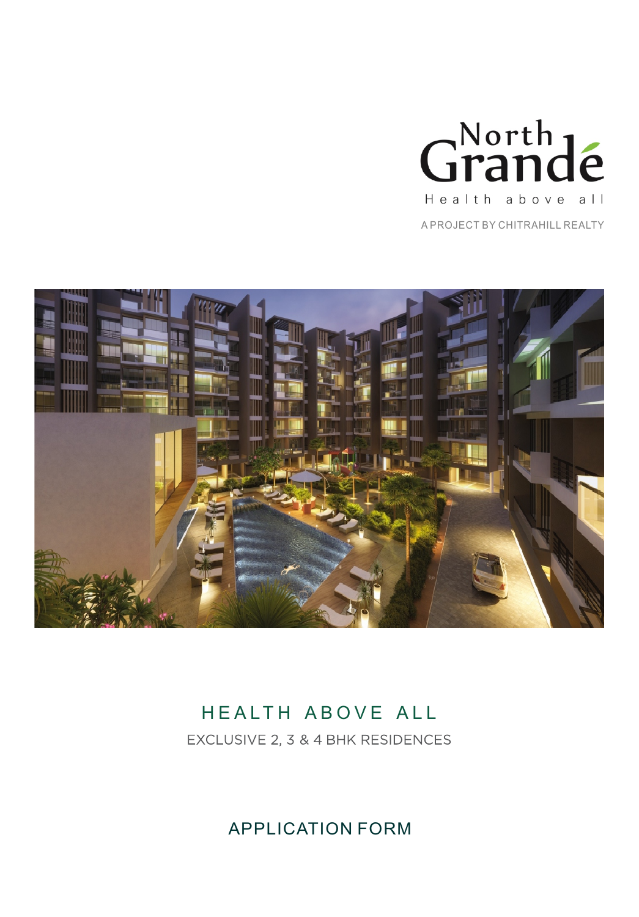

A PROJECT BY CHITRAHILL REALTY



# HEALTH ABOVE ALL

EXCLUSIVE 2, 3 & 4 BHK RESIDENCES

APPLICATION FORM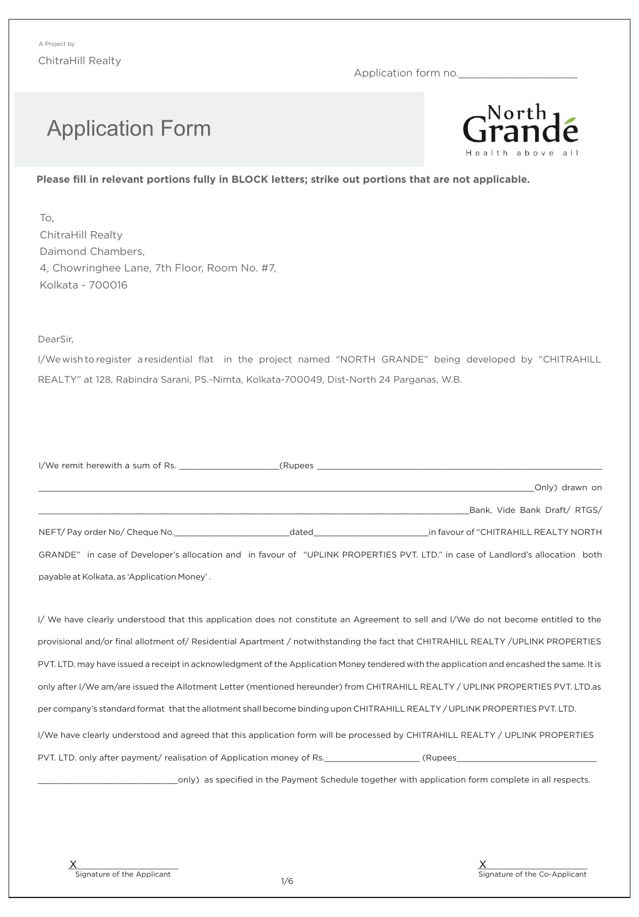Application form no.

# Application Form



### **Please fill in relevant portions fully in BLOCK letters; strike out portions that are not applicable.**

To, ChitraHill Realty Daimond Chambers, 4, Chowringhee Lane, 7th Floor, Room No. #7, Kolkata - 700016

#### Dear Sir,

I/We wish to register a residential flat in the project named "NORTH GRANDE" being developed by "CHITRAHILL REALTY" at 128, Rabindra Sarani, PS.-Nimta, Kolkata-700049, Dist-North 24 Parganas, W.B.

| I/We remit herewith a sum of Rs.            |                                                                                                               | (Rupees and the contract of the contract of the contract of the contract of the contract of the contract of the contract of the contract of the contract of the contract of the contract of the contract of the contract of th |
|---------------------------------------------|---------------------------------------------------------------------------------------------------------------|--------------------------------------------------------------------------------------------------------------------------------------------------------------------------------------------------------------------------------|
|                                             |                                                                                                               | Only) drawn on                                                                                                                                                                                                                 |
|                                             |                                                                                                               | Bank, Vide Bank Draft/ RTGS/                                                                                                                                                                                                   |
| NEFT/Pay order No/Cheque No.                | dated and the contract of the contract of the contract of the contract of the contract of the contract of the | in favour of "CHITRAHILL REALTY NORTH"                                                                                                                                                                                         |
|                                             |                                                                                                               | GRANDE" in case of Developer's allocation and in favour of "UPLINK PROPERTIES PVT. LTD." in case of Landlord's allocation both                                                                                                 |
| payable at Kolkata, as 'Application Money'. |                                                                                                               |                                                                                                                                                                                                                                |

I/ We have clearly understood that this application does not constitute an Agreement to sell and I/We do not become entitled to the provisional and/or final allotment of/ Residential Apartment / notwithstanding the fact that CHITRAHILL REALTY /UPLINK PROPERTIES PVT. LTD. may have issued a receipt in acknowledgment of the Application Money tendered with the application and encashed the same. It is only after I/We am/are issued the Allotment Letter (mentioned hereunder) from CHITRAHILL REALTY / UPLINK PROPERTIES PVT. LTD.as per companys standard format that the allotment shall become binding upon CHITRAHILL REALTY / UPLINK PROPERTIES PVT. LTD. I/We have clearly understood and agreed that this application form will be processed by CHITRAHILL REALTY / UPLINK PROPERTIES PVT. LTD. only after payment/ realisation of Application money of Rs.\_\_\_\_\_\_\_\_\_\_\_\_\_\_\_\_\_\_\_ (Rupees\_\_\_\_\_\_\_\_\_\_\_\_\_\_\_\_\_\_\_\_\_\_\_\_\_\_\_\_

\_\_\_\_\_\_\_\_\_\_\_\_\_\_\_\_\_\_\_\_\_\_\_\_\_\_\_\_only) as specified in the Payment Schedule together with application form complete in all respects.

Signature of the Applicant X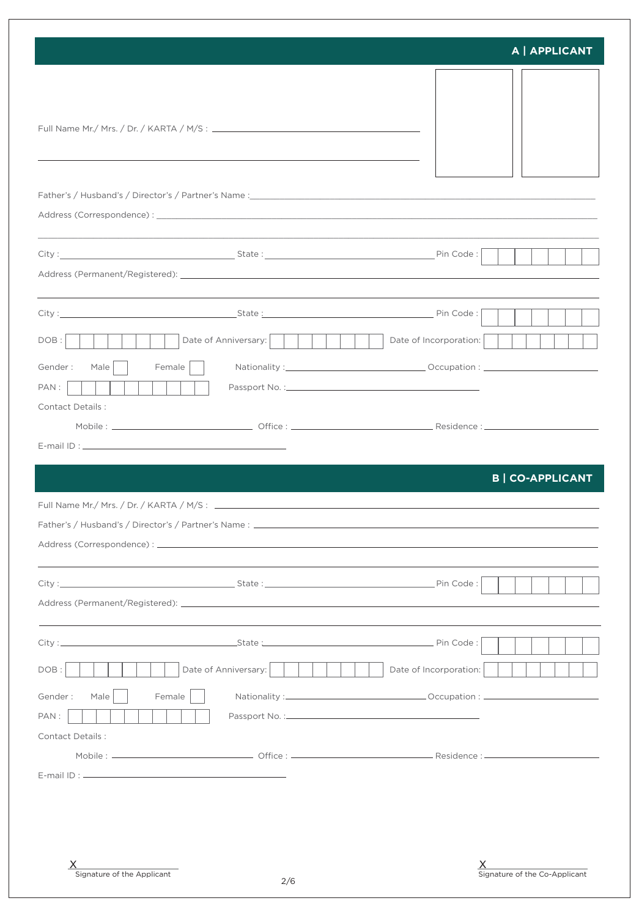|                                               |                      | A   APPLICANT                 |
|-----------------------------------------------|----------------------|-------------------------------|
|                                               |                      |                               |
|                                               |                      |                               |
|                                               |                      |                               |
|                                               |                      |                               |
| DOB:<br>Gender:<br>Male<br>Female    <br>PAN: | Date of Anniversary: | Date of Incorporation:        |
| <b>Contact Details:</b>                       |                      |                               |
|                                               |                      | <b>B   CO-APPLICANT</b>       |
|                                               |                      |                               |
|                                               |                      |                               |
| DOB:<br>Gender:<br>Male<br>Female<br>PAN:     | Date of Anniversary: | Date of Incorporation:        |
| <b>Contact Details:</b>                       |                      |                               |
| Signature of the Applicant                    | 2/6                  | Signature of the Co-Applicant |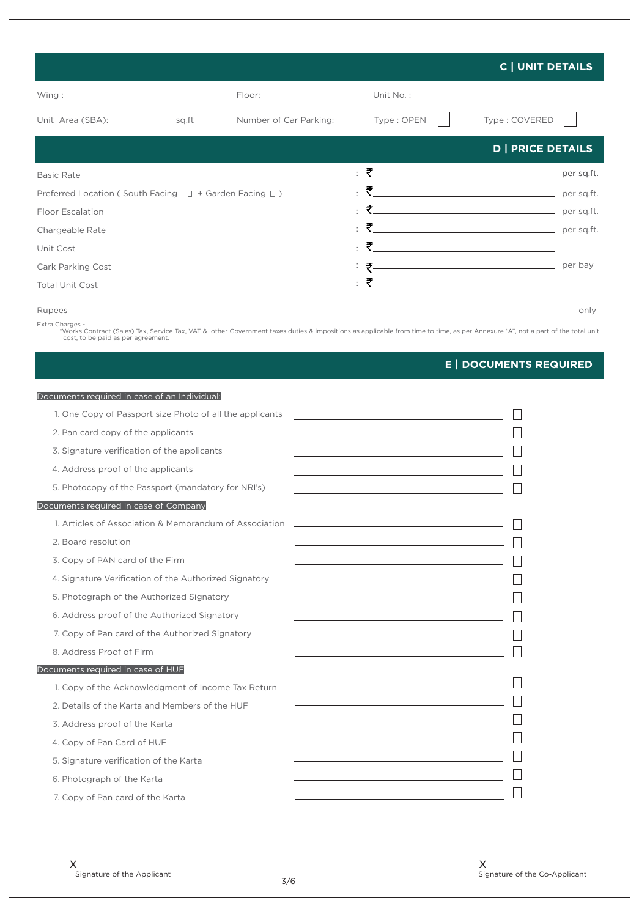|                                                                  |                                             |                                             | <b>C   UNIT DETAILS</b>                |
|------------------------------------------------------------------|---------------------------------------------|---------------------------------------------|----------------------------------------|
| $Wing: \_$                                                       | Floor: ______________________               | Unit No. : ______________________           |                                        |
| Unit Area (SBA): ___________________ sq.ft                       | Number of Car Parking: _________ Type: OPEN |                                             | Type: COVERED                          |
|                                                                  |                                             |                                             | <b>D   PRICE DETAILS</b>               |
| <b>Basic Rate</b>                                                |                                             | <u>: そ_______________________________</u> _ | per sq.ft.                             |
| Preferred Location (South Facing $\Box$ + Garden Facing $\Box$ ) |                                             | $\epsilon$                                  | $\overline{\xi}$ per sq.ft.            |
| <b>Floor Escalation</b>                                          |                                             |                                             | $\frac{1}{2}$ $\frac{1}{2}$ per sq.ft. |
| Chargeable Rate                                                  |                                             |                                             | per sq.ft.                             |
| Unit Cost                                                        |                                             | ÷                                           |                                        |
| Cark Parking Cost                                                |                                             | <u>そして、コンティングのサイズを使われています。</u>              | per bay                                |
| <b>Total Unit Cost</b>                                           |                                             | ÷                                           |                                        |
|                                                                  |                                             |                                             | only                                   |

Extra Charges -<br>\*Works Contract (Sales) Tax, Service Tax, VAT & other Government taxes duties & impositions as applicable from time to time, as per Annexure "A", not a part of the total unit<br>cost, to be paid as per agreeme

## **E | DOCUMENTS REQUIRED**

| Documents required in case of an Individual:             |                                                                                                                       |
|----------------------------------------------------------|-----------------------------------------------------------------------------------------------------------------------|
| 1. One Copy of Passport size Photo of all the applicants |                                                                                                                       |
| 2. Pan card copy of the applicants                       | the control of the control of the control of the control of the control of                                            |
| 3. Signature verification of the applicants              |                                                                                                                       |
| 4. Address proof of the applicants                       | <u> 1989 - Johann Barn, mars ann an t-Amhain Aonaich an t-Aonaich an t-Aonaich ann an t-Aonaich ann an t-Aonaich</u>  |
| 5. Photocopy of the Passport (mandatory for NRI's)       |                                                                                                                       |
| Documents required in case of Company                    |                                                                                                                       |
| 1. Articles of Association & Memorandum of Association   | <u> 1989 - Johann Stein, mars an deus Amerikaansk kommunister (* 1958)</u>                                            |
| 2. Board resolution                                      |                                                                                                                       |
| 3. Copy of PAN card of the Firm                          | <u> 1980 - Johann Stoff, Amerikaansk politiker († 1908)</u>                                                           |
| 4. Signature Verification of the Authorized Signatory    | the control of the control of the control of the control of the control of                                            |
| 5. Photograph of the Authorized Signatory                |                                                                                                                       |
| 6. Address proof of the Authorized Signatory             |                                                                                                                       |
| 7. Copy of Pan card of the Authorized Signatory          |                                                                                                                       |
| 8. Address Proof of Firm                                 | <u> 1989 - Johann Barn, mars eta bainar eta bat erroman erroman erroman erroman erroman erroman erroman erroman e</u> |
| Documents required in case of HUF                        |                                                                                                                       |
| 1. Copy of the Acknowledgment of Income Tax Return       |                                                                                                                       |
| 2. Details of the Karta and Members of the HUF           | the control of the control of the control of the control of the control of                                            |
| 3. Address proof of the Karta                            | <u> 1980 - Johann Barbara, martxa alemaniar a</u>                                                                     |
| 4. Copy of Pan Card of HUF                               | the control of the control of the control of the control of the control of                                            |
| 5. Signature verification of the Karta                   | <u> 1989 - Johann Barbara, martxa alemaniar a</u>                                                                     |
| 6. Photograph of the Karta                               | <u> 1980 - Johann Stoff, fransk politik (</u>                                                                         |
| 7. Copy of Pan card of the Karta                         |                                                                                                                       |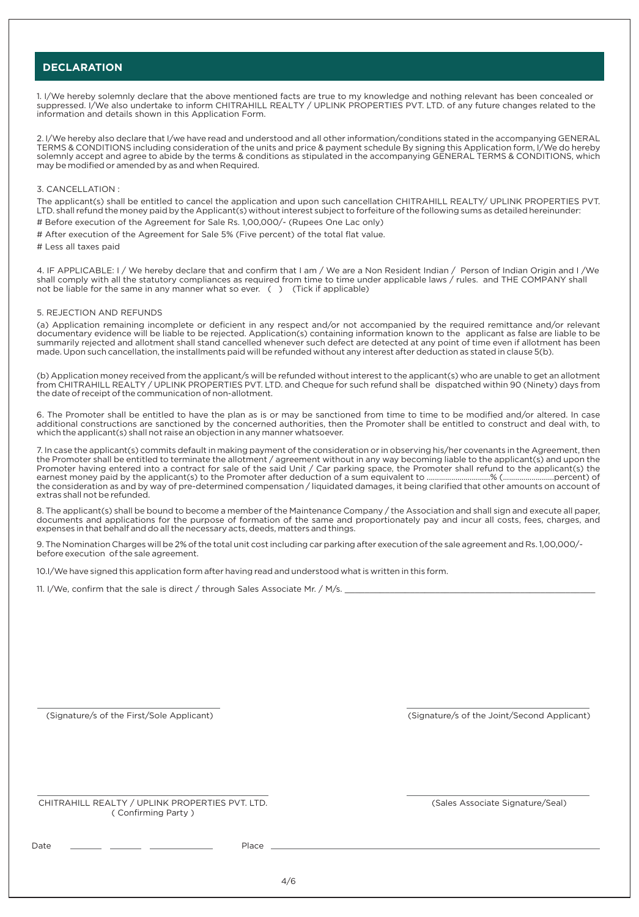#### **DECLARATION**

1. I/We hereby solemnly declare that the above mentioned facts are true to my knowledge and nothing relevant has been concealed or suppressed. I/We also undertake to inform CHITRAHILL REALTY / UPLINK PROPERTIES PVT. LTD. of any future changes related to the information and details shown in this Application Form.

2. I/We hereby also declare that I/we have read and understood and all other information/conditions stated in the accompanying GENERAL TERMS & CONDITIONS including consideration of the units and price & payment schedule By signing this Application form, I/We do hereby solemnly accept and agree to abide by the terms & conditions as stipulated in the accompanying GENERAL TERMS & CONDITIONS, which may be modified or amended by as and when Required.

#### 3. CANCELLATION :

The applicant(s) shall be entitled to cancel the application and upon such cancellation CHITRAHILL REALTY/ UPLINK PROPERTIES PVT. LTD. shall refund the money paid by the Applicant(s) without interest subject to forfeiture of the following sums as detailed hereinunder: # Before execution of the Agreement for Sale Rs. 1,00,000/- (Rupees One Lac only)

- # After execution of the Agreement for Sale 5% (Five percent) of the total flat value.
- # Less all taxes paid

4. IF APPLICABLE: I / We hereby declare that and confirm that I am / We are a Non Resident Indian / Person of Indian Origin and I /We shall comply with all the statutory compliances as required from time to time under applicable laws / rules. and THE COMPANY shall not be liable for the same in any manner what so ever. () (Tick if applicable)

#### 5. REJECTION AND REFUNDS

(a) Application remaining incomplete or deficient in any respect and/or not accompanied by the required remittance and/or relevant documentary evidence will be liable to be rejected. Application(s) containing information known to the applicant as false are liable to be summarily rejected and allotment shall stand cancelled whenever such defect are detected at any point of time even if allotment has been made. Upon such cancellation, the installments paid will be refunded without any interest after deduction as stated in clause 5(b).

(b) Application money received from the applicant/s will be refunded without interest to the applicant(s) who are unable to get an allotment from CHITRAHILL REALTY / UPLINK PROPERTIES PVT. LTD. and Cheque for such refund shall be dispatched within 90 (Ninety) days from the date of receipt of the communication of non-allotment.

6. The Promoter shall be entitled to have the plan as is or may be sanctioned from time to time to be modified and/or altered. In case additional constructions are sanctioned by the concerned authorities, then the Promoter shall be entitled to construct and deal with, to which the applicant(s) shall not raise an objection in any manner whatsoever.

7. In case the applicant(s) commits default in making payment of the consideration or in observing his/her covenants in the Agreement, then the Promoter shall be entitled to terminate the allotment / agreement without in any way becoming liable to the applicant(s) and upon the Promoter having entered into a contract for sale of the said Unit / Car parking space, the Promoter shall refund to the applicant(s) the earnest money paid by the applicant(s) to the Promoter after deduction of a sum equivalent to ...............................% (.........................percent) of the consideration as and by way of pre-determined compensation / liquidated damages, it being clarified that other amounts on account of extras shall not be refunded.

8. The applicant(s) shall be bound to become a member of the Maintenance Company / the Association and shall sign and execute all paper, documents and applications for the purpose of formation of the same and proportionately pay and incur all costs, fees, charges, and expenses in that behalf and do all the necessary acts, deeds, matters and things.

9. The Nomination Charges will be 2% of the total unit cost including car parking after execution of the sale agreement and Rs. 1,00,000/ before execution of the sale agreement.

10.I/We have signed this application form after having read and understood what is written in this form.

11. I/We, confirm that the sale is direct / through Sales Associate Mr. / M/s. \_

(Signature/s of the First/Sole Applicant)

(Signature/s of the Joint/Second Applicant)

CHITRAHILL REALTY / UPLINK PROPERTIES PVT. LTD. ( Confirming Party )

(Sales Associate Signature/Seal)

Date \_\_\_\_\_\_\_\_ \_\_\_\_\_\_\_ \_\_\_\_\_\_\_\_\_\_\_\_\_\_\_\_\_ Place \_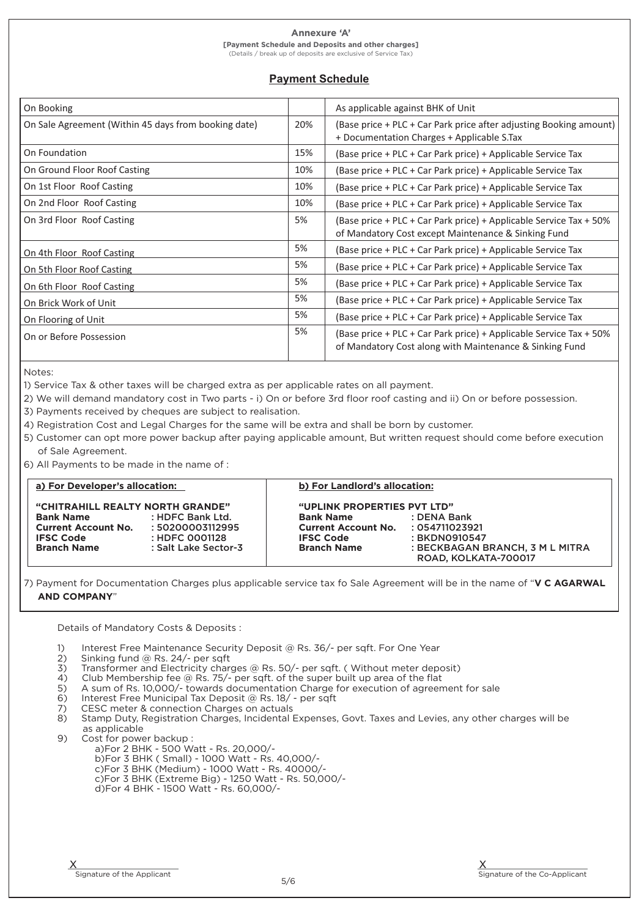#### Annexure 'A'

**[Payment Schedule and Deposits and other charges]** (Details / break up of deposits are exclusive of Service Tax)

### **Payment Schedule**

| On Booking                                           |     | As applicable against BHK of Unit                                                                                             |
|------------------------------------------------------|-----|-------------------------------------------------------------------------------------------------------------------------------|
| On Sale Agreement (Within 45 days from booking date) | 20% | (Base price + PLC + Car Park price after adjusting Booking amount)<br>+ Documentation Charges + Applicable S.Tax              |
| On Foundation                                        | 15% | (Base price + PLC + Car Park price) + Applicable Service Tax                                                                  |
| On Ground Floor Roof Casting                         | 10% | (Base price + PLC + Car Park price) + Applicable Service Tax                                                                  |
| On 1st Floor Roof Casting                            | 10% | (Base price + PLC + Car Park price) + Applicable Service Tax                                                                  |
| On 2nd Floor Roof Casting                            | 10% | (Base price + PLC + Car Park price) + Applicable Service Tax                                                                  |
| On 3rd Floor Roof Casting                            | 5%  | (Base price + PLC + Car Park price) + Applicable Service Tax + 50%<br>of Mandatory Cost except Maintenance & Sinking Fund     |
| On 4th Floor Roof Casting                            | 5%  | (Base price + PLC + Car Park price) + Applicable Service Tax                                                                  |
| On 5th Floor Roof Casting                            | 5%  | (Base price + PLC + Car Park price) + Applicable Service Tax                                                                  |
| On 6th Floor Roof Casting                            | 5%  | (Base price + PLC + Car Park price) + Applicable Service Tax                                                                  |
| On Brick Work of Unit                                | 5%  | (Base price + PLC + Car Park price) + Applicable Service Tax                                                                  |
| On Flooring of Unit                                  | 5%  | (Base price + PLC + Car Park price) + Applicable Service Tax                                                                  |
| On or Before Possession                              | 5%  | (Base price + PLC + Car Park price) + Applicable Service Tax + 50%<br>of Mandatory Cost along with Maintenance & Sinking Fund |

Notes:

1) Service Tax & other taxes will be charged extra as per applicable rates on all payment.

2) We will demand mandatory cost in Two parts - i) On or before 3rd floor roof casting and ii) On or before possession.

3) Payments received by cheques are subject to realisation.

4) Registration Cost and Legal Charges for the same will be extra and shall be born by customer.

5) Customer can opt more power backup after paying applicable amount, But written request should come before execution of Sale Agreement.

6) All Payments to be made in the name of :

| a) For Developer's allocation:                                                                         |                                                        | b) For Landlord's allocation:                                                                             |                                                         |
|--------------------------------------------------------------------------------------------------------|--------------------------------------------------------|-----------------------------------------------------------------------------------------------------------|---------------------------------------------------------|
| "CHITRAHILL REALTY NORTH GRANDE"<br><b>Bank Name</b><br><b>Current Account No.</b><br><b>IFSC Code</b> | : HDFC Bank Ltd.<br>: 50200003112995<br>: HDFC 0001128 | "UPLINK PROPERTIES PVT LTD"<br><b>Bank Name</b><br>Current Account No. : 054711023921<br><b>IFSC Code</b> | : DENA Bank<br>: BKDN0910547                            |
| <b>Branch Name</b>                                                                                     | : Salt Lake Sector-3                                   | <b>Branch Name</b>                                                                                        | : BECKBAGAN BRANCH, 3 M L MITRA<br>ROAD, KOLKATA-700017 |

7) Payment for Documentation Charges plus applicable service tax fo Sale Agreement will be in the name of **V C AGARWAL AND COMPANY**

Details of Mandatory Costs & Deposits :

- 1) Interest Free Maintenance Security Deposit @ Rs. 36/- per sqft. For One Year
- 2) Sinking fund @ Rs. 24/- per sqft
- 3) Transformer and Electricity charges  $@$  Rs. 50/- per sqft. ( Without meter deposit) 4) Club Membership fee  $@$  Rs. 75/- per sqft. of the super built up area of the flat
- 4) Club Membership fee  $@$  Rs. 75/- per sqft. of the super built up area of the flat  $5$  A sum of Rs. 10.000/- towards documentation Charge for execution of agreen
- A sum of Rs. 10,000/- towards documentation Charge for execution of agreement for sale
- 6) Interest Free Municipal Tax Deposit @ Rs. 18/ per sqft<br>7) CESC meter & connection Charges on actuals
- CESC meter & connection Charges on actuals
- 8) Stamp Duty, Registration Charges, Incidental Expenses, Govt. Taxes and Levies, any other charges will be
- as applicable<br>9) Cost for powe
	- Cost for power backup : a)For 2 BHK - 500 Watt - Rs. 20,000/
		- b)For 3 BHK ( Small) 1000 Watt Rs. 40,000/-
		- c)For 3 BHK (Medium) 1000 Watt Rs. 40000/-
		- c)For 3 BHK (Extreme Big) 1250 Watt Rs. 50,000/-
		- d)For 4 BHK 1500 Watt Rs. 60,000/-

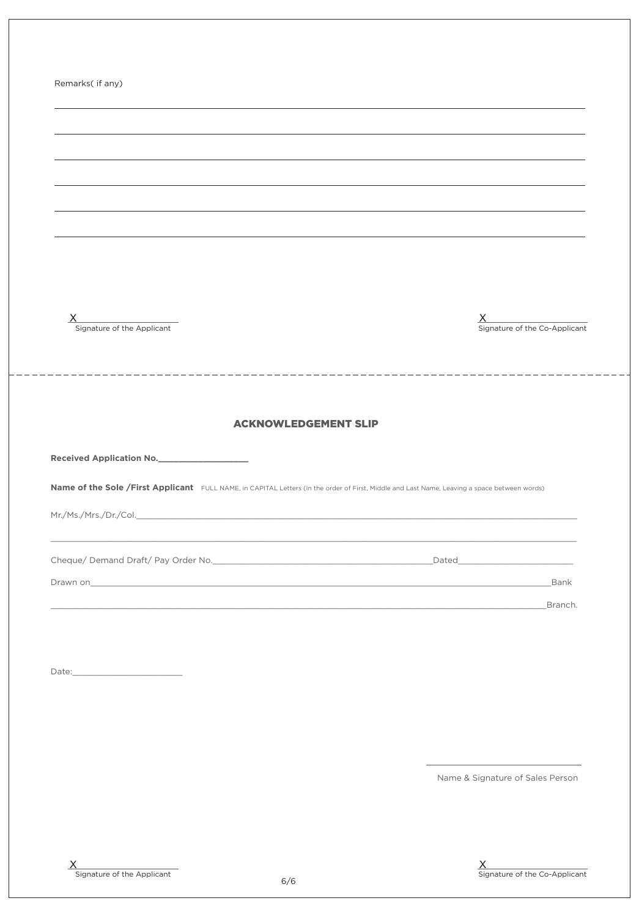| Remarks( if any)                                                                                                                             |                                                                                                                                  |
|----------------------------------------------------------------------------------------------------------------------------------------------|----------------------------------------------------------------------------------------------------------------------------------|
|                                                                                                                                              |                                                                                                                                  |
|                                                                                                                                              |                                                                                                                                  |
|                                                                                                                                              |                                                                                                                                  |
|                                                                                                                                              |                                                                                                                                  |
|                                                                                                                                              |                                                                                                                                  |
|                                                                                                                                              |                                                                                                                                  |
|                                                                                                                                              |                                                                                                                                  |
|                                                                                                                                              |                                                                                                                                  |
| X                                                                                                                                            | X                                                                                                                                |
| Signature of the Applicant                                                                                                                   | Signature of the Co-Applicant                                                                                                    |
|                                                                                                                                              |                                                                                                                                  |
|                                                                                                                                              |                                                                                                                                  |
|                                                                                                                                              |                                                                                                                                  |
|                                                                                                                                              |                                                                                                                                  |
| <b>ACKNOWLEDGEMENT SLIP</b>                                                                                                                  |                                                                                                                                  |
|                                                                                                                                              |                                                                                                                                  |
| Received Application No.                                                                                                                     |                                                                                                                                  |
| Name of the Sole /First Applicant FULL NAME, in CAPITAL Letters (In the order of First, Middle and Last Name, Leaving a space between words) |                                                                                                                                  |
|                                                                                                                                              |                                                                                                                                  |
|                                                                                                                                              | ,我们也不能在这里的人,我们也不能在这里的人,我们也不能在这里的人,我们也不能在这里的人,我们也不能在这里的人,我们也不能在这里的人,我们也不能在这里的人,我们也                                                |
|                                                                                                                                              |                                                                                                                                  |
|                                                                                                                                              | Bank                                                                                                                             |
|                                                                                                                                              | Branch.<br><u> 1989 - Johann Barn, amerikan besteman besteman besteman besteman besteman besteman besteman besteman besteman</u> |
|                                                                                                                                              |                                                                                                                                  |
|                                                                                                                                              |                                                                                                                                  |
|                                                                                                                                              |                                                                                                                                  |
|                                                                                                                                              |                                                                                                                                  |
|                                                                                                                                              |                                                                                                                                  |
|                                                                                                                                              |                                                                                                                                  |
|                                                                                                                                              | Name & Signature of Sales Person                                                                                                 |

6/6